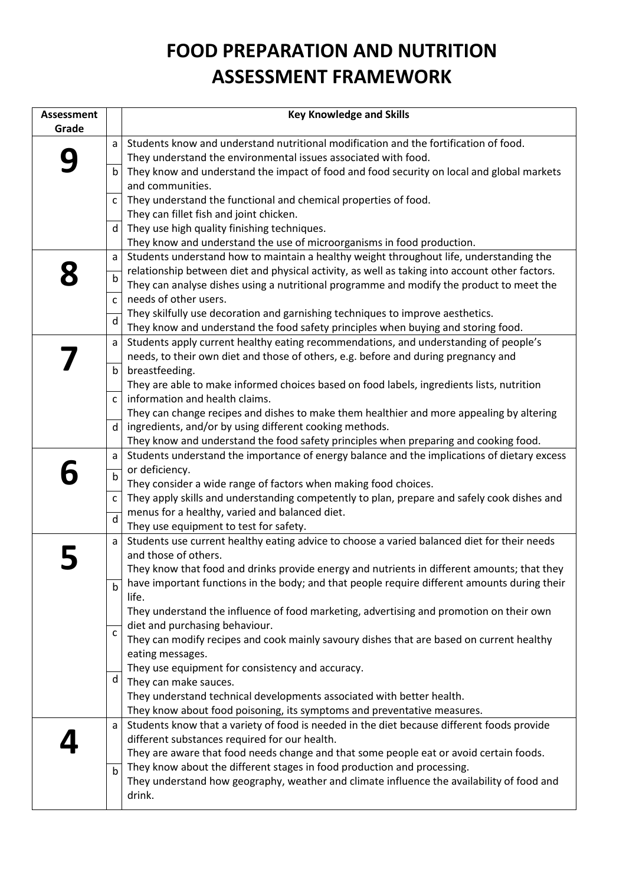## **FOOD PREPARATION AND NUTRITION ASSESSMENT FRAMEWORK**

| <b>Assessment</b> |              | <b>Key Knowledge and Skills</b>                                                                                                                                                           |
|-------------------|--------------|-------------------------------------------------------------------------------------------------------------------------------------------------------------------------------------------|
| Grade             |              |                                                                                                                                                                                           |
|                   | a            | Students know and understand nutritional modification and the fortification of food.                                                                                                      |
|                   |              | They understand the environmental issues associated with food.                                                                                                                            |
|                   | b            | They know and understand the impact of food and food security on local and global markets                                                                                                 |
|                   |              | and communities.                                                                                                                                                                          |
|                   | $\mathsf{C}$ | They understand the functional and chemical properties of food.                                                                                                                           |
|                   |              | They can fillet fish and joint chicken.                                                                                                                                                   |
|                   | d            | They use high quality finishing techniques.                                                                                                                                               |
|                   |              | They know and understand the use of microorganisms in food production.                                                                                                                    |
|                   | a            | Students understand how to maintain a healthy weight throughout life, understanding the<br>relationship between diet and physical activity, as well as taking into account other factors. |
|                   | $\mathsf b$  | They can analyse dishes using a nutritional programme and modify the product to meet the                                                                                                  |
|                   | $\mathsf{C}$ | needs of other users.                                                                                                                                                                     |
|                   |              | They skilfully use decoration and garnishing techniques to improve aesthetics.                                                                                                            |
|                   | $\mathsf{d}$ | They know and understand the food safety principles when buying and storing food.                                                                                                         |
|                   | a            | Students apply current healthy eating recommendations, and understanding of people's                                                                                                      |
|                   |              | needs, to their own diet and those of others, e.g. before and during pregnancy and                                                                                                        |
|                   | $\mathsf b$  | breastfeeding.                                                                                                                                                                            |
|                   |              | They are able to make informed choices based on food labels, ingredients lists, nutrition                                                                                                 |
|                   | $\mathsf{C}$ | information and health claims.                                                                                                                                                            |
|                   |              | They can change recipes and dishes to make them healthier and more appealing by altering                                                                                                  |
|                   | $\mathsf{d}$ | ingredients, and/or by using different cooking methods.                                                                                                                                   |
|                   |              | They know and understand the food safety principles when preparing and cooking food.                                                                                                      |
|                   | a            | Students understand the importance of energy balance and the implications of dietary excess                                                                                               |
|                   | b            | or deficiency.                                                                                                                                                                            |
|                   |              | They consider a wide range of factors when making food choices.                                                                                                                           |
|                   | C            | They apply skills and understanding competently to plan, prepare and safely cook dishes and                                                                                               |
|                   | $\mathsf{d}$ | menus for a healthy, varied and balanced diet.<br>They use equipment to test for safety.                                                                                                  |
|                   | a            | Students use current healthy eating advice to choose a varied balanced diet for their needs                                                                                               |
|                   |              | and those of others.                                                                                                                                                                      |
|                   |              | They know that food and drinks provide energy and nutrients in different amounts; that they                                                                                               |
|                   | $\mathbf b$  | have important functions in the body; and that people require different amounts during their                                                                                              |
|                   |              | life.                                                                                                                                                                                     |
|                   |              | They understand the influence of food marketing, advertising and promotion on their own                                                                                                   |
|                   |              | diet and purchasing behaviour.                                                                                                                                                            |
|                   | $\mathsf{C}$ | They can modify recipes and cook mainly savoury dishes that are based on current healthy                                                                                                  |
|                   |              | eating messages.                                                                                                                                                                          |
|                   |              | They use equipment for consistency and accuracy.                                                                                                                                          |
|                   | d            | They can make sauces.                                                                                                                                                                     |
|                   |              | They understand technical developments associated with better health.                                                                                                                     |
|                   |              | They know about food poisoning, its symptoms and preventative measures.                                                                                                                   |
|                   | a            | Students know that a variety of food is needed in the diet because different foods provide                                                                                                |
|                   |              | different substances required for our health.                                                                                                                                             |
|                   |              | They are aware that food needs change and that some people eat or avoid certain foods.                                                                                                    |
|                   | $\mathbf b$  | They know about the different stages in food production and processing.                                                                                                                   |
|                   |              | They understand how geography, weather and climate influence the availability of food and<br>drink.                                                                                       |
|                   |              |                                                                                                                                                                                           |